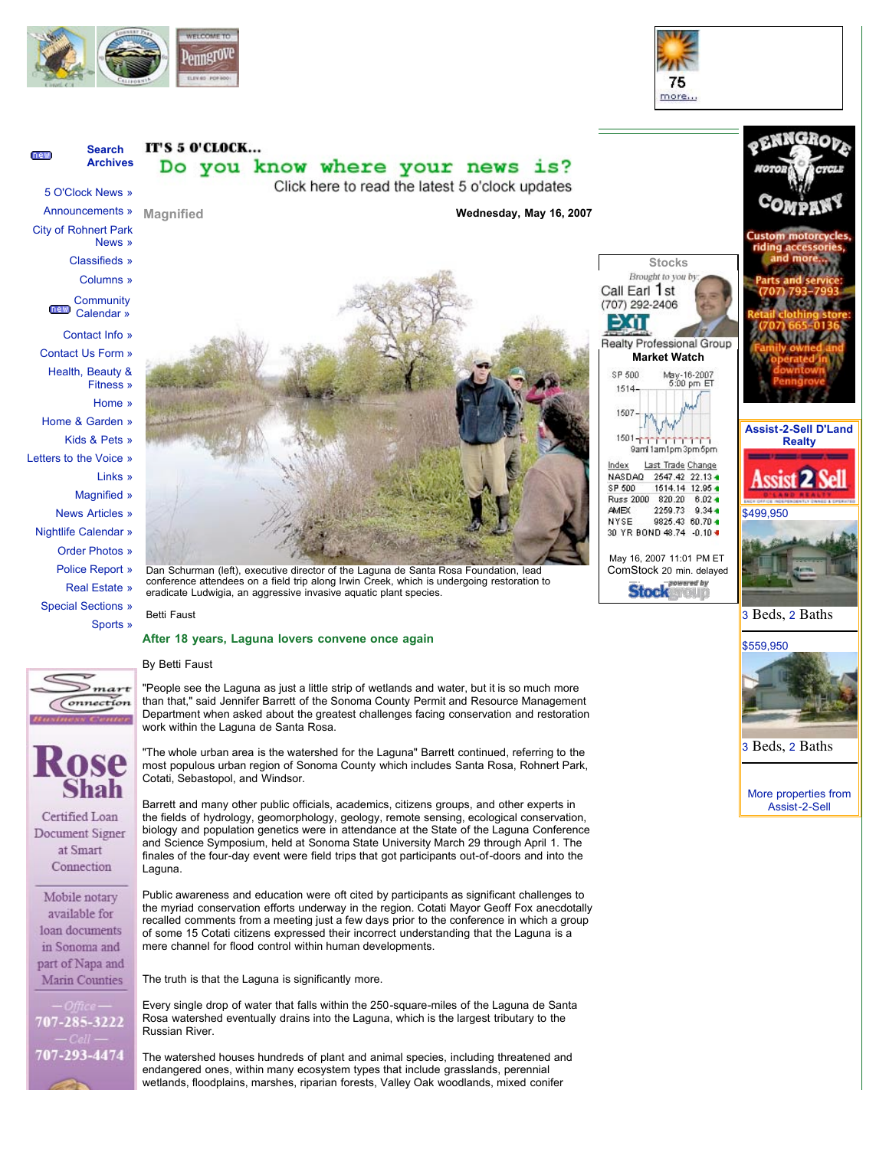